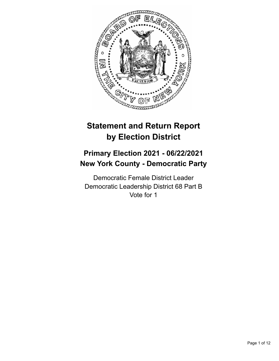

# **Statement and Return Report by Election District**

# **Primary Election 2021 - 06/22/2021 New York County - Democratic Party**

Democratic Female District Leader Democratic Leadership District 68 Part B Vote for 1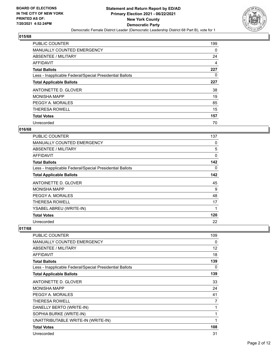

| <b>PUBLIC COUNTER</b>                                    | 199      |
|----------------------------------------------------------|----------|
| <b>MANUALLY COUNTED EMERGENCY</b>                        | $\Omega$ |
| ABSENTEE / MILITARY                                      | 24       |
| <b>AFFIDAVIT</b>                                         | 4        |
| <b>Total Ballots</b>                                     | 227      |
| Less - Inapplicable Federal/Special Presidential Ballots | 0        |
| <b>Total Applicable Ballots</b>                          | 227      |
| ANTOINETTE D. GLOVER                                     | 38       |
| <b>MONISHA MAPP</b>                                      | 19       |
| PEGGY A. MORALES                                         | 85       |
| <b>THERESA ROWELL</b>                                    | 15       |
| <b>Total Votes</b>                                       | 157      |
| Unrecorded                                               | 70       |

## **016/68**

| PUBLIC COUNTER                                           | 137          |
|----------------------------------------------------------|--------------|
| MANUALLY COUNTED EMERGENCY                               | 0            |
| ABSENTEE / MILITARY                                      | 5            |
| AFFIDAVIT                                                | $\mathbf{0}$ |
| <b>Total Ballots</b>                                     | 142          |
| Less - Inapplicable Federal/Special Presidential Ballots | 0            |
| <b>Total Applicable Ballots</b>                          | 142          |
| ANTOINETTE D. GLOVER                                     | 45           |
| <b>MONISHA MAPP</b>                                      | 9            |
| PEGGY A. MORALES                                         | 48           |
| THERESA ROWELL                                           | 17           |
| YSABEL ABREU (WRITE-IN)                                  | 1            |
| <b>Total Votes</b>                                       | 120          |
| Unrecorded                                               | 22           |

| <b>PUBLIC COUNTER</b>                                    | 109 |
|----------------------------------------------------------|-----|
| <b>MANUALLY COUNTED EMERGENCY</b>                        | 0   |
| ABSENTEE / MILITARY                                      | 12  |
| <b>AFFIDAVIT</b>                                         | 18  |
| <b>Total Ballots</b>                                     | 139 |
| Less - Inapplicable Federal/Special Presidential Ballots | 0   |
| <b>Total Applicable Ballots</b>                          | 139 |
| ANTOINETTE D. GLOVER                                     | 33  |
| <b>MONISHA MAPP</b>                                      | 24  |
| PEGGY A. MORALES                                         | 41  |
| <b>THERESA ROWELL</b>                                    | 7   |
| DANELLY BERTO (WRITE-IN)                                 | 1   |
| SOPHIA BURKE (WRITE-IN)                                  | 1   |
| UNATTRIBUTABLE WRITE-IN (WRITE-IN)                       | 1   |
| <b>Total Votes</b>                                       | 108 |
| Unrecorded                                               | 31  |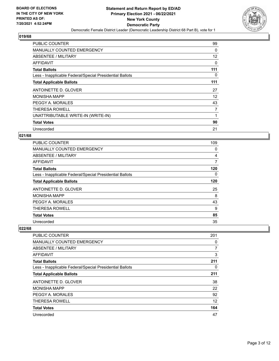

| <b>PUBLIC COUNTER</b>                                    | 99       |
|----------------------------------------------------------|----------|
| <b>MANUALLY COUNTED EMERGENCY</b>                        | $\Omega$ |
| ABSENTEE / MILITARY                                      | 12       |
| AFFIDAVIT                                                | 0        |
| <b>Total Ballots</b>                                     | 111      |
| Less - Inapplicable Federal/Special Presidential Ballots | 0        |
| <b>Total Applicable Ballots</b>                          | 111      |
| ANTOINETTE D. GLOVER                                     | 27       |
| <b>MONISHA MAPP</b>                                      | 12       |
| PEGGY A. MORALES                                         | 43       |
| <b>THERESA ROWELL</b>                                    | 7        |
| UNATTRIBUTABLE WRITE-IN (WRITE-IN)                       |          |
| <b>Total Votes</b>                                       | 90       |
| Unrecorded                                               | 21       |

## **021/68**

| PUBLIC COUNTER                                           | 109            |
|----------------------------------------------------------|----------------|
| MANUALLY COUNTED EMERGENCY                               | 0              |
| ABSENTEE / MILITARY                                      | $\overline{4}$ |
| AFFIDAVIT                                                | 7              |
| <b>Total Ballots</b>                                     | 120            |
| Less - Inapplicable Federal/Special Presidential Ballots | $\Omega$       |
| <b>Total Applicable Ballots</b>                          | 120            |
| ANTOINETTE D. GLOVER                                     | 25             |
| <b>MONISHA MAPP</b>                                      | 8              |
| PEGGY A. MORALES                                         | 43             |
| <b>THERESA ROWELL</b>                                    | 9              |
| <b>Total Votes</b>                                       | 85             |
| Unrecorded                                               | 35             |

| <b>PUBLIC COUNTER</b>                                    | 201            |
|----------------------------------------------------------|----------------|
| MANUALLY COUNTED EMERGENCY                               | 0              |
| ABSENTEE / MILITARY                                      | $\overline{7}$ |
| AFFIDAVIT                                                | 3              |
| <b>Total Ballots</b>                                     | 211            |
| Less - Inapplicable Federal/Special Presidential Ballots | 0              |
| <b>Total Applicable Ballots</b>                          | 211            |
| ANTOINETTE D. GLOVER                                     | 38             |
| <b>MONISHA MAPP</b>                                      | 22             |
| PEGGY A. MORALES                                         | 92             |
| <b>THERESA ROWELL</b>                                    | 12             |
| <b>Total Votes</b>                                       | 164            |
| Unrecorded                                               | 47             |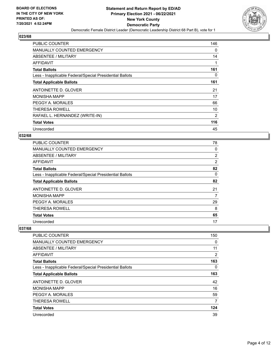

| PUBLIC COUNTER                                           | 146 |
|----------------------------------------------------------|-----|
| <b>MANUALLY COUNTED EMERGENCY</b>                        | 0   |
| ABSENTEE / MILITARY                                      | 14  |
| AFFIDAVIT                                                |     |
| <b>Total Ballots</b>                                     | 161 |
| Less - Inapplicable Federal/Special Presidential Ballots | 0   |
| <b>Total Applicable Ballots</b>                          | 161 |
| ANTOINETTE D. GLOVER                                     | 21  |
| <b>MONISHA MAPP</b>                                      | 17  |
| PEGGY A. MORALES                                         | 66  |
| <b>THERESA ROWELL</b>                                    | 10  |
| RAFAEL L. HERNANDEZ (WRITE-IN)                           | 2   |
| <b>Total Votes</b>                                       | 116 |
| Unrecorded                                               | 45  |

## **032/68**

| PUBLIC COUNTER                                           | 78 |
|----------------------------------------------------------|----|
| MANUALLY COUNTED EMERGENCY                               | 0  |
| ABSENTEE / MILITARY                                      | 2  |
| <b>AFFIDAVIT</b>                                         | 2  |
| <b>Total Ballots</b>                                     | 82 |
| Less - Inapplicable Federal/Special Presidential Ballots | 0  |
| <b>Total Applicable Ballots</b>                          | 82 |
| ANTOINETTE D. GLOVER                                     | 21 |
| <b>MONISHA MAPP</b>                                      | 7  |
| PEGGY A. MORALES                                         | 29 |
| <b>THERESA ROWELL</b>                                    | 8  |
| <b>Total Votes</b>                                       | 65 |
| Unrecorded                                               | 17 |

| <b>PUBLIC COUNTER</b>                                    | 150 |
|----------------------------------------------------------|-----|
| MANUALLY COUNTED EMERGENCY                               | 0   |
| ABSENTEE / MILITARY                                      | 11  |
| AFFIDAVIT                                                | 2   |
| <b>Total Ballots</b>                                     | 163 |
| Less - Inapplicable Federal/Special Presidential Ballots | 0   |
| <b>Total Applicable Ballots</b>                          | 163 |
| ANTOINETTE D. GLOVER                                     | 42  |
| <b>MONISHA MAPP</b>                                      | 16  |
| PEGGY A. MORALES                                         | 59  |
| <b>THERESA ROWELL</b>                                    | 7   |
| <b>Total Votes</b>                                       | 124 |
| Unrecorded                                               | 39  |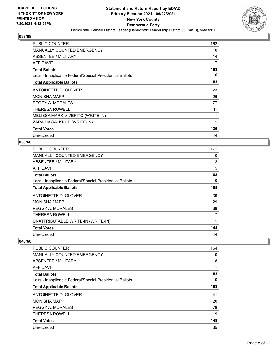

| <b>PUBLIC COUNTER</b>                                    | 162 |
|----------------------------------------------------------|-----|
| <b>MANUALLY COUNTED EMERGENCY</b>                        | 0   |
| ABSENTEE / MILITARY                                      | 14  |
| AFFIDAVIT                                                | 7   |
| <b>Total Ballots</b>                                     | 183 |
| Less - Inapplicable Federal/Special Presidential Ballots | 0   |
| <b>Total Applicable Ballots</b>                          | 183 |
| ANTOINETTE D. GLOVER                                     | 23  |
| <b>MONISHA MAPP</b>                                      | 26  |
| PEGGY A. MORALES                                         | 77  |
| <b>THERESA ROWELL</b>                                    | 11  |
| MELISSA MARK-VIVERITO (WRITE-IN)                         |     |
| ZARAIDA SALKRUP (WRITE-IN)                               | 1   |
| <b>Total Votes</b>                                       | 139 |
| Unrecorded                                               | 44  |

#### **039/68**

| <b>PUBLIC COUNTER</b>                                    | 171 |
|----------------------------------------------------------|-----|
| <b>MANUALLY COUNTED EMERGENCY</b>                        | 0   |
| ABSENTEE / MILITARY                                      | 12  |
| AFFIDAVIT                                                | 5   |
| <b>Total Ballots</b>                                     | 188 |
| Less - Inapplicable Federal/Special Presidential Ballots | 0   |
| <b>Total Applicable Ballots</b>                          | 188 |
| ANTOINETTE D. GLOVER                                     | 39  |
| <b>MONISHA MAPP</b>                                      | 29  |
| PEGGY A. MORALES                                         | 68  |
| <b>THERESA ROWELL</b>                                    | 7   |
| UNATTRIBUTABLE WRITE-IN (WRITE-IN)                       | 1   |
| <b>Total Votes</b>                                       | 144 |
| Unrecorded                                               | 44  |

| <b>PUBLIC COUNTER</b>                                    | 164 |
|----------------------------------------------------------|-----|
| <b>MANUALLY COUNTED EMERGENCY</b>                        | 0   |
| ABSENTEE / MILITARY                                      | 18  |
| AFFIDAVIT                                                | 1   |
| <b>Total Ballots</b>                                     | 183 |
| Less - Inapplicable Federal/Special Presidential Ballots | 0   |
| <b>Total Applicable Ballots</b>                          | 183 |
| ANTOINETTE D. GLOVER                                     | 41  |
| <b>MONISHA MAPP</b>                                      | 20  |
| PEGGY A. MORALES                                         | 78  |
| <b>THERESA ROWELL</b>                                    | 9   |
| <b>Total Votes</b>                                       | 148 |
| Unrecorded                                               | 35  |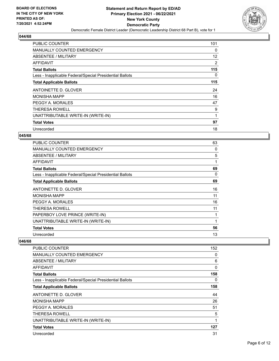

| <b>PUBLIC COUNTER</b>                                    | 101 |
|----------------------------------------------------------|-----|
| <b>MANUALLY COUNTED EMERGENCY</b>                        | 0   |
| ABSENTEE / MILITARY                                      | 12  |
| AFFIDAVIT                                                | 2   |
| <b>Total Ballots</b>                                     | 115 |
| Less - Inapplicable Federal/Special Presidential Ballots | 0   |
| <b>Total Applicable Ballots</b>                          | 115 |
| ANTOINETTE D. GLOVER                                     | 24  |
| <b>MONISHA MAPP</b>                                      | 16  |
| PEGGY A. MORALES                                         | 47  |
| THERESA ROWELL                                           | 9   |
| UNATTRIBUTABLE WRITE-IN (WRITE-IN)                       | 1   |
| <b>Total Votes</b>                                       | 97  |
| Unrecorded                                               | 18  |

#### **045/68**

| <b>PUBLIC COUNTER</b>                                    | 63 |
|----------------------------------------------------------|----|
| MANUALLY COUNTED EMERGENCY                               | 0  |
| ABSENTEE / MILITARY                                      | 5  |
| AFFIDAVIT                                                | 1  |
| <b>Total Ballots</b>                                     | 69 |
| Less - Inapplicable Federal/Special Presidential Ballots | 0  |
| <b>Total Applicable Ballots</b>                          | 69 |
| ANTOINETTE D. GLOVER                                     | 16 |
| <b>MONISHA MAPP</b>                                      | 11 |
| PEGGY A. MORALES                                         | 16 |
| THERESA ROWELL                                           | 11 |
| PAPERBOY LOVE PRINCE (WRITE-IN)                          |    |
| UNATTRIBUTABLE WRITE-IN (WRITE-IN)                       | 1  |
| <b>Total Votes</b>                                       | 56 |
| Unrecorded                                               | 13 |

| <b>PUBLIC COUNTER</b>                                    | 152      |
|----------------------------------------------------------|----------|
| <b>MANUALLY COUNTED EMERGENCY</b>                        | $\Omega$ |
| ABSENTEE / MILITARY                                      | 6        |
| AFFIDAVIT                                                | 0        |
| <b>Total Ballots</b>                                     | 158      |
| Less - Inapplicable Federal/Special Presidential Ballots | 0        |
| <b>Total Applicable Ballots</b>                          | 158      |
| ANTOINETTE D. GLOVER                                     | 44       |
| <b>MONISHA MAPP</b>                                      | 26       |
| PEGGY A. MORALES                                         | 51       |
| THERESA ROWELL                                           | 5        |
| UNATTRIBUTABLE WRITE-IN (WRITE-IN)                       | 1        |
| <b>Total Votes</b>                                       | 127      |
| Unrecorded                                               | 31       |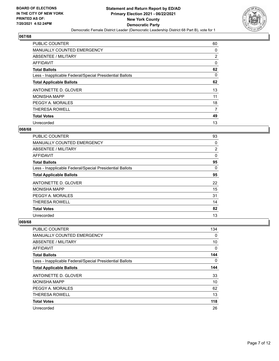

| <b>PUBLIC COUNTER</b>                                    | 60             |
|----------------------------------------------------------|----------------|
| <b>MANUALLY COUNTED EMERGENCY</b>                        | 0              |
| ABSENTEE / MILITARY                                      | $\overline{2}$ |
| <b>AFFIDAVIT</b>                                         | 0              |
| <b>Total Ballots</b>                                     | 62             |
| Less - Inapplicable Federal/Special Presidential Ballots | $\Omega$       |
| <b>Total Applicable Ballots</b>                          | 62             |
| ANTOINETTE D. GLOVER                                     | 13             |
| <b>MONISHA MAPP</b>                                      | 11             |
| PEGGY A. MORALES                                         | 18             |
| <b>THERESA ROWELL</b>                                    | 7              |
| <b>Total Votes</b>                                       | 49             |
| Unrecorded                                               | 13             |

## **068/68**

| PUBLIC COUNTER                                           | 93       |
|----------------------------------------------------------|----------|
| MANUALLY COUNTED EMERGENCY                               | 0        |
| ABSENTEE / MILITARY                                      | 2        |
| AFFIDAVIT                                                | 0        |
| <b>Total Ballots</b>                                     | 95       |
| Less - Inapplicable Federal/Special Presidential Ballots | $\Omega$ |
| <b>Total Applicable Ballots</b>                          | 95       |
| ANTOINETTE D. GLOVER                                     | 22       |
| <b>MONISHA MAPP</b>                                      | 15       |
| PEGGY A. MORALES                                         | 31       |
| <b>THERESA ROWELL</b>                                    | 14       |
| <b>Total Votes</b>                                       | 82       |
| Unrecorded                                               | 13       |

| <b>PUBLIC COUNTER</b>                                    | 134 |
|----------------------------------------------------------|-----|
| MANUALLY COUNTED EMERGENCY                               | 0   |
| ABSENTEE / MILITARY                                      | 10  |
| AFFIDAVIT                                                | 0   |
| <b>Total Ballots</b>                                     | 144 |
| Less - Inapplicable Federal/Special Presidential Ballots | 0   |
| <b>Total Applicable Ballots</b>                          | 144 |
| ANTOINETTE D. GLOVER                                     | 33  |
| <b>MONISHA MAPP</b>                                      | 10  |
| PEGGY A. MORALES                                         | 62  |
| <b>THERESA ROWELL</b>                                    | 13  |
| <b>Total Votes</b>                                       | 118 |
| Unrecorded                                               | 26  |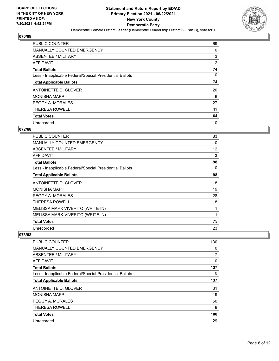

| <b>PUBLIC COUNTER</b>                                    | 69       |
|----------------------------------------------------------|----------|
| <b>MANUALLY COUNTED EMERGENCY</b>                        | 0        |
| ABSENTEE / MILITARY                                      | 3        |
| <b>AFFIDAVIT</b>                                         | 2        |
| <b>Total Ballots</b>                                     | 74       |
| Less - Inapplicable Federal/Special Presidential Ballots | $\Omega$ |
| <b>Total Applicable Ballots</b>                          | 74       |
| ANTOINETTE D. GLOVER                                     | 20       |
| <b>MONISHA MAPP</b>                                      | 6        |
| PEGGY A. MORALES                                         | 27       |
| <b>THERESA ROWELL</b>                                    | 11       |
| <b>Total Votes</b>                                       | 64       |
| Unrecorded                                               | 10       |

# **072/68**

| PUBLIC COUNTER                                           | 83       |
|----------------------------------------------------------|----------|
| <b>MANUALLY COUNTED EMERGENCY</b>                        | 0        |
| <b>ABSENTEE / MILITARY</b>                               | 12       |
| <b>AFFIDAVIT</b>                                         | 3        |
| <b>Total Ballots</b>                                     | 98       |
| Less - Inapplicable Federal/Special Presidential Ballots | $\Omega$ |
| <b>Total Applicable Ballots</b>                          | 98       |
| ANTOINETTE D. GLOVER                                     | 18       |
| <b>MONISHA MAPP</b>                                      | 19       |
| PEGGY A. MORALES                                         | 28       |
| THERESA ROWELL                                           | 8        |
| MELISSA MARK VIVERITO (WRITE-IN)                         | 1        |
| MELISSA MARK-VIVERITO (WRITE-IN)                         | 1        |
| <b>Total Votes</b>                                       | 75       |
| Unrecorded                                               | 23       |

| <b>PUBLIC COUNTER</b>                                    | 130 |
|----------------------------------------------------------|-----|
| <b>MANUALLY COUNTED EMERGENCY</b>                        | 0   |
| ABSENTEE / MILITARY                                      | 7   |
| AFFIDAVIT                                                | 0   |
| <b>Total Ballots</b>                                     | 137 |
| Less - Inapplicable Federal/Special Presidential Ballots | 0   |
| <b>Total Applicable Ballots</b>                          | 137 |
| ANTOINETTE D. GLOVER                                     | 31  |
| <b>MONISHA MAPP</b>                                      | 19  |
| PEGGY A. MORALES                                         | 50  |
| <b>THERESA ROWELL</b>                                    | 8   |
| <b>Total Votes</b>                                       | 108 |
| Unrecorded                                               | 29  |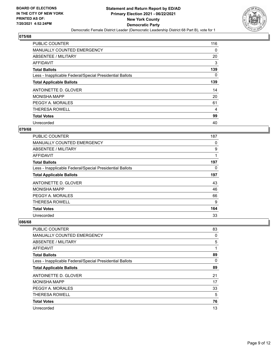

| <b>PUBLIC COUNTER</b>                                    | 116      |
|----------------------------------------------------------|----------|
| <b>MANUALLY COUNTED EMERGENCY</b>                        | $\Omega$ |
| ABSENTEE / MILITARY                                      | 20       |
| <b>AFFIDAVIT</b>                                         | 3        |
| <b>Total Ballots</b>                                     | 139      |
| Less - Inapplicable Federal/Special Presidential Ballots | $\Omega$ |
| <b>Total Applicable Ballots</b>                          | 139      |
| ANTOINETTE D. GLOVER                                     | 14       |
| <b>MONISHA MAPP</b>                                      | 20       |
| PEGGY A. MORALES                                         | 61       |
| <b>THERESA ROWELL</b>                                    | 4        |
| <b>Total Votes</b>                                       | 99       |
| Unrecorded                                               | 40       |

## **079/68**

| PUBLIC COUNTER                                           | 187      |
|----------------------------------------------------------|----------|
| <b>MANUALLY COUNTED EMERGENCY</b>                        | 0        |
| ABSENTEE / MILITARY                                      | 9        |
| <b>AFFIDAVIT</b>                                         |          |
| <b>Total Ballots</b>                                     | 197      |
| Less - Inapplicable Federal/Special Presidential Ballots | $\Omega$ |
| <b>Total Applicable Ballots</b>                          | 197      |
| ANTOINETTE D. GLOVER                                     | 43       |
| <b>MONISHA MAPP</b>                                      | 46       |
| PEGGY A. MORALES                                         | 66       |
| <b>THERESA ROWELL</b>                                    | 9        |
| <b>Total Votes</b>                                       | 164      |
| Unrecorded                                               | 33       |

| <b>PUBLIC COUNTER</b>                                    | 83 |
|----------------------------------------------------------|----|
| <b>MANUALLY COUNTED EMERGENCY</b>                        | 0  |
| ABSENTEE / MILITARY                                      | 5  |
| AFFIDAVIT                                                | 1  |
| <b>Total Ballots</b>                                     | 89 |
| Less - Inapplicable Federal/Special Presidential Ballots | 0  |
| <b>Total Applicable Ballots</b>                          | 89 |
| ANTOINETTE D. GLOVER                                     | 21 |
| <b>MONISHA MAPP</b>                                      | 17 |
| PEGGY A. MORALES                                         | 33 |
| <b>THERESA ROWELL</b>                                    | 5  |
| <b>Total Votes</b>                                       | 76 |
| Unrecorded                                               | 13 |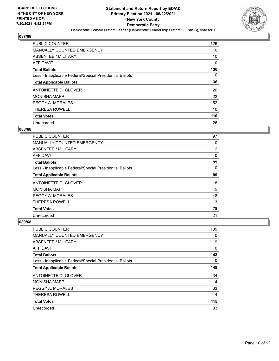

| <b>PUBLIC COUNTER</b>                                    | 126      |
|----------------------------------------------------------|----------|
| <b>MANUALLY COUNTED EMERGENCY</b>                        | 0        |
| ABSENTEE / MILITARY                                      | 10       |
| <b>AFFIDAVIT</b>                                         | 0        |
| <b>Total Ballots</b>                                     | 136      |
| Less - Inapplicable Federal/Special Presidential Ballots | $\Omega$ |
| <b>Total Applicable Ballots</b>                          | 136      |
| ANTOINETTE D. GLOVER                                     | 26       |
| <b>MONISHA MAPP</b>                                      | 22       |
| PEGGY A. MORALES                                         | 52       |
| <b>THERESA ROWELL</b>                                    | 10       |
| <b>Total Votes</b>                                       | 110      |
| Unrecorded                                               | 26       |

## **088/68**

| PUBLIC COUNTER                                           | 97       |
|----------------------------------------------------------|----------|
| MANUALLY COUNTED EMERGENCY                               | 0        |
| ABSENTEE / MILITARY                                      | 2        |
| AFFIDAVIT                                                | 0        |
| <b>Total Ballots</b>                                     | 99       |
| Less - Inapplicable Federal/Special Presidential Ballots | $\Omega$ |
| <b>Total Applicable Ballots</b>                          | 99       |
| ANTOINETTE D. GLOVER                                     | 18       |
| <b>MONISHA MAPP</b>                                      | 9        |
| PEGGY A. MORALES                                         | 48       |
| <b>THERESA ROWELL</b>                                    | 3        |
| <b>Total Votes</b>                                       | 78       |
| Unrecorded                                               | 21       |

| <b>PUBLIC COUNTER</b>                                    | 139 |
|----------------------------------------------------------|-----|
| <b>MANUALLY COUNTED EMERGENCY</b>                        | 0   |
| ABSENTEE / MILITARY                                      | 9   |
| AFFIDAVIT                                                | 0   |
| <b>Total Ballots</b>                                     | 148 |
| Less - Inapplicable Federal/Special Presidential Ballots | 0   |
| <b>Total Applicable Ballots</b>                          | 148 |
| ANTOINETTE D. GLOVER                                     | 34  |
| <b>MONISHA MAPP</b>                                      | 14  |
| PEGGY A. MORALES                                         | 63  |
| <b>THERESA ROWELL</b>                                    | 4   |
| <b>Total Votes</b>                                       | 115 |
| Unrecorded                                               | 33  |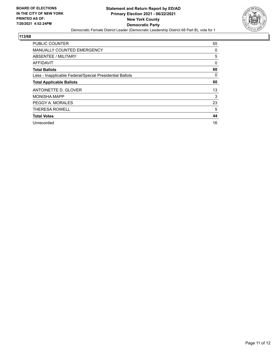

| <b>PUBLIC COUNTER</b>                                    | 55       |
|----------------------------------------------------------|----------|
| MANUALLY COUNTED EMERGENCY                               | 0        |
| ABSENTEE / MILITARY                                      | 5        |
| AFFIDAVIT                                                | 0        |
| <b>Total Ballots</b>                                     | 60       |
| Less - Inapplicable Federal/Special Presidential Ballots | $\Omega$ |
| <b>Total Applicable Ballots</b>                          | 60       |
| ANTOINETTE D. GLOVER                                     | 13       |
| <b>MONISHA MAPP</b>                                      | 3        |
| PEGGY A. MORALES                                         | 23       |
| <b>THERESA ROWELL</b>                                    | 5        |
| <b>Total Votes</b>                                       | 44       |
| Unrecorded                                               | 16       |